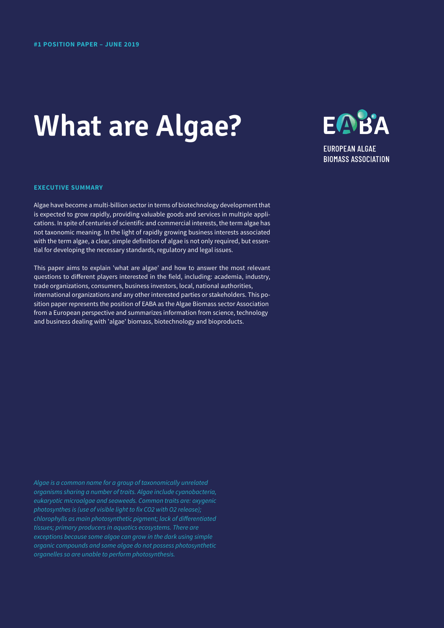# **What are Algae?**



**BIOMASS ASSOCIATION** 

# **EXECUTIVE SUMMARY**

Algae have become a multi-billion sector in terms of biotechnology development that is expected to grow rapidly, providing valuable goods and services in multiple applications. In spite of centuries of scientific and commercial interests, the term algae has not taxonomic meaning. In the light of rapidly growing business interests associated with the term algae, a clear, simple definition of algae is not only required, but essential for developing the necessary standards, regulatory and legal issues.

This paper aims to explain 'what are algae' and how to answer the most relevant questions to different players interested in the field, including: academia, industry, trade organizations, consumers, business investors, local, national authorities, international organizations and any other interested parties or stakeholders. This position paper represents the position of EABA as the Algae Biomass sector Association from a European perspective and summarizes information from science, technology and business dealing with 'algae' biomass, biotechnology and bioproducts.

*Algae is a common name for a group of taxonomically unrelated organisms sharing a number of traits. Algae include cyanobacteria, eukaryotic microalgae and seaweeds. Common traits are: oxygenic photosynthes is (use of visible light to fix CO2 with O2 release); chlorophylls as main photosynthetic pigment; lack of differentiated tissues; primary producers in aquatics ecosystems. There are exceptions because some algae can grow in the dark using simple organic compounds and some algae do not possess photosynthetic organelles so are unable to perform photosynthesis.*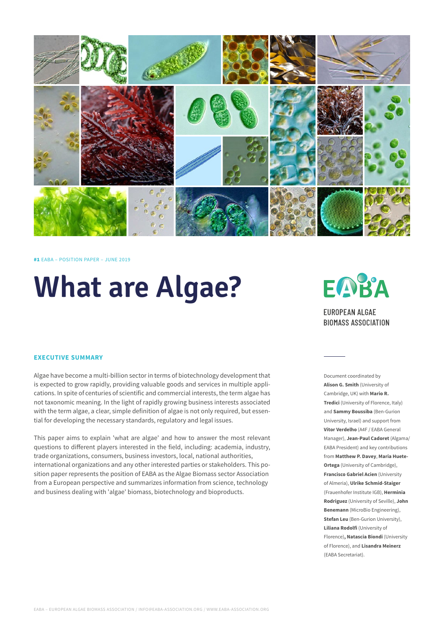

#1 EABA – POSITION PAPER – JUNE 2019

# **What are Algae?**

# **EXECUTIVE SUMMARY**

Algae have become a multi-billion sector in terms of biotechnology development that is expected to grow rapidly, providing valuable goods and services in multiple applications. In spite of centuries of scientific and commercial interests, the term algae has not taxonomic meaning. In the light of rapidly growing business interests associated with the term algae, a clear, simple definition of algae is not only required, but essential for developing the necessary standards, regulatory and legal issues.

This paper aims to explain 'what are algae' and how to answer the most relevant questions to different players interested in the field, including: academia, industry, trade organizations, consumers, business investors, local, national authorities, international organizations and any other interested parties or stakeholders. This position paper represents the position of EABA as the Algae Biomass sector Association from a European perspective and summarizes information from science, technology and business dealing with 'algae' biomass, biotechnology and bioproducts.



**BIOMASS ASSOCIATION** 

Document coordinated by **Alison G. Smith** (University of Cambridge, UK) with **Mario R. Tredici** (University of Florence, Italy) and **Sammy Boussiba** (Ben-Gurion University, Israel) and support from **Vítor Verdelho** (A4F / EABA General Manager), **Jean-Paul Cadoret** (Algama/ EABA President) and key contributions from **Matthew P. Davey**, **Maria Huete-Ortega** (University of Cambridge), **Francisco Gabriel Acien** (University of Almeria), **Ulrike Schmid-Staiger** (Frauenhofer Institute IGB), **Herminia Rodriguez** (University of Seville), **John Benemann** (MicroBio Engineering), **Stefan Leu** (Ben-Gurion University), **Liliana Rodolfi** (University of Florence)**, Natascia Biondi** (University of Florence), and **Lisandra Meinerz** (EABA Secretariat).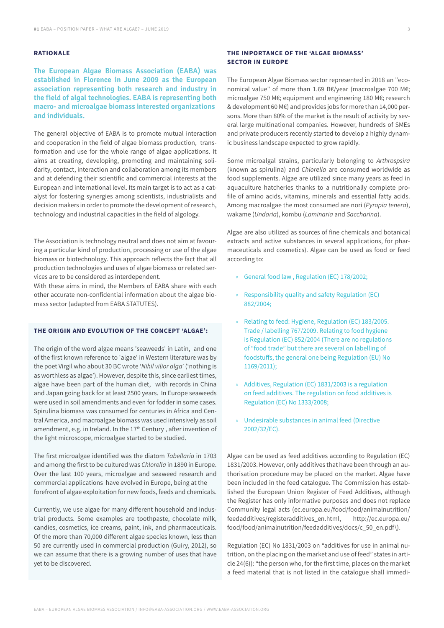# **RATIONALE**

**The European Algae Biomass Association (EABA) was established in Florence in June 2009 as the European association representing both research and industry in the field of algal technologies. EABA is representing both macro- and microalgae biomass interested organizations and individuals.**

The general objective of EABA is to promote mutual interaction and cooperation in the field of algae biomass production, transformation and use for the whole range of algae applications. It aims at creating, developing, promoting and maintaining solidarity, contact, interaction and collaboration among its members and at defending their scientific and commercial interests at the European and international level. Its main target is to act as a catalyst for fostering synergies among scientists, industrialists and decision makers in order to promote the development of research, technology and industrial capacities in the field of algology.

The Association is technology neutral and does not aim at favouring a particular kind of production, processing or use of the algae biomass or biotechnology. This approach reflects the fact that all production technologies and uses of algae biomass or related services are to be considered as interdependent.

With these aims in mind, the Members of EABA share with each other accurate non-confidential information about the algae biomass sector (adapted from EABA STATUTES).

### **THE ORIGIN AND EVOLUTION OF THE CONCEPT 'ALGAE':**

The origin of the word algae means 'seaweeds' in Latin, and one of the first known reference to 'algae' in Western literature was by the poet Virgil who about 30 BC wrote '*Nihil vilior alga*' ('nothing is as worthless as algae'). However, despite this, since earliest times, algae have been part of the human diet, with records in China and Japan going back for at least 2500 years. In Europe seaweeds were used in soil amendments and even for fodder in some cases. Spirulina biomass was consumed for centuries in Africa and Central America, and macroalgae biomass was used intensively as soil amendment, e.g. in Ireland. In the 17<sup>th</sup> Century, after invention of the light microscope, microalgae started to be studied.

The first microalgae identified was the diatom *Tabellaria* in 1703 and among the first to be cultured was *Chlorella* in 1890 in Europe. Over the last 100 years, microalgae and seaweed research and commercial applications have evolved in Europe, being at the forefront of algae exploitation for new foods, feeds and chemicals.

Currently, we use algae for many different household and industrial products. Some examples are toothpaste, chocolate milk, candies, cosmetics, ice creams, paint, ink, and pharmaceuticals. Of the more than 70,000 different algae species known, less than 50 are currently used in commercial production (Guiry, 2012), so we can assume that there is a growing number of uses that have yet to be discovered.

# **THE IMPORTANCE OF THE 'ALGAE BIOMASS' SECTOR IN EUROPE**

The European Algae Biomass sector represented in 2018 an "economical value" of more than 1.69 B€/year (macroalgae 700 M€; microalgae 750 M€; equipment and engineering 180 M€; research & development 60 M€) and provides jobs for more than 14,000 persons. More than 80% of the market is the result of activity by several large multinational companies. However, hundreds of SMEs and private producers recently started to develop a highly dynamic business landscape expected to grow rapidly.

Some microalgal strains, particularly belonging to *Arthrospsira* (known as spirulina) and *Chlorella* are consumed worldwide as food supplements. Algae are utilized since many years as feed in aquaculture hatcheries thanks to a nutritionally complete profile of amino acids, vitamins, minerals and essential fatty acids. Among macroalgae the most consumed are nori (*Pyropia tenera*), wakame (*Undaria*), kombu (*Laminaria* and *Saccharina*).

Algae are also utilized as sources of fine chemicals and botanical extracts and active substances in several applications, for pharmaceuticals and cosmetics). Algae can be used as food or feed according to:

- » General food law , Regulation (EC) 178/2002;
- » Responsibility quality and safety Regulation (EC) 882/2004;
- » Relating to feed: Hygiene, Regulation (EC) 183/2005. Trade / labelling 767/2009. Relating to food hygiene is Regulation (EC) 852/2004 (There are no regulations of "food trade" but there are several on labelling of foodstuffs, the general one being Regulation (EU) No 1169/2011);
- » Additives, Regulation (EC) 1831/2003 is a regulation on feed additives. The regulation on food additives is Regulation (EC) No 1333/2008;
- » Undesirable substances in animal feed (Directive 2002/32/EC).

Algae can be used as feed additives according to Regulation (EC) 1831/2003. However, only additives that have been through an authorisation procedure may be placed on the market. Algae have been included in the feed catalogue. The Commission has established the European Union Register of Feed Additives, although the Register has only informative purposes and does not replace Community legal acts (ec.europa.eu/food/food/animalnutrition/ feedadditives/registeradditives\_en.html, http://ec.europa.eu/ food/food/animalnutrition/feedadditives/docs/c\_50\_en.pdf\).

Regulation (EC) No 1831/2003 on "additives for use in animal nutrition, on the placing on the market and use of feed" states in article 24(6)): "the person who, for the first time, places on the market a feed material that is not listed in the catalogue shall immedi-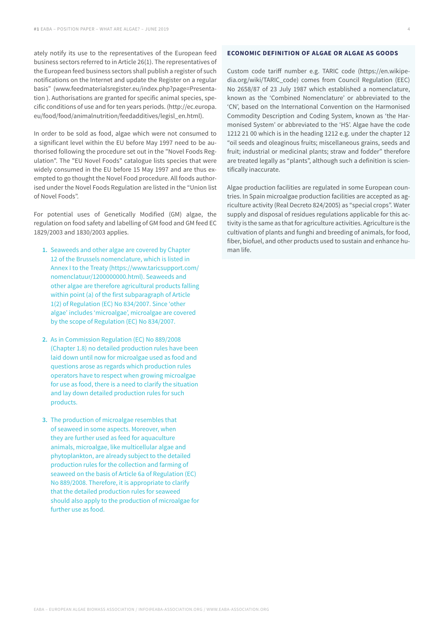ately notify its use to the representatives of the European feed business sectors referred to in Article 26(1). The representatives of the European feed business sectors shall publish a register of such notifications on the Internet and update the Register on a regular basis" (www.feedmaterialsregister.eu/index.php?page=Presentation ). Authorisations are granted for specific animal species, specific conditions of use and for ten years periods. (http://ec.europa. eu/food/food/animalnutrition/feedadditives/legisl\_en.html).

In order to be sold as food, algae which were not consumed to a significant level within the EU before May 1997 need to be authorised following the procedure set out in the "Novel Foods Regulation". The "EU Novel Foods" catalogue lists species that were widely consumed in the EU before 15 May 1997 and are thus exempted to go thought the Novel Food procedure. All foods authorised under the Novel Foods Regulation are listed in the "Union list of Novel Foods".

For potential uses of Genetically Modified (GM) algae, the regulation on food safety and labelling of GM food and GM feed EC 1829/2003 and 1830/2003 applies.

- **1.** Seaweeds and other algae are covered by Chapter 12 of the Brussels nomenclature, which is listed in Annex I to the Treaty (https://www.taricsupport.com/ nomenclatuur/1200000000.html). Seaweeds and other algae are therefore agricultural products falling within point (a) of the first subparagraph of Article 1(2) of Regulation (EC) No 834/2007. Since 'other algae' includes 'microalgae', microalgae are covered by the scope of Regulation (EC) No 834/2007.
- **2.** As in Commission Regulation (EC) No 889/2008 (Chapter 1.8) no detailed production rules have been laid down until now for microalgae used as food and questions arose as regards which production rules operators have to respect when growing microalgae for use as food, there is a need to clarify the situation and lay down detailed production rules for such products.
- **3.** The production of microalgae resembles that of seaweed in some aspects. Moreover, when they are further used as feed for aquaculture animals, microalgae, like multicellular algae and phytoplankton, are already subject to the detailed production rules for the collection and farming of seaweed on the basis of Article 6a of Regulation (EC) No 889/2008. Therefore, it is appropriate to clarify that the detailed production rules for seaweed should also apply to the production of microalgae for further use as food.

### **ECONOMIC DEFINITION OF ALGAE OR ALGAE AS GOODS**

Custom code tariff number e.g. TARIC code (https://en.wikipedia.org/wiki/TARIC\_code) comes from Council Regulation (EEC) No 2658/87 of 23 July 1987 which established a nomenclature, known as the 'Combined Nomenclature' or abbreviated to the 'CN', based on the International Convention on the Harmonised Commodity Description and Coding System, known as 'the Harmonised System' or abbreviated to the 'HS'. Algae have the code 1212 21 00 which is in the heading 1212 e.g. under the chapter 12 "oil seeds and oleaginous fruits; miscellaneous grains, seeds and fruit; industrial or medicinal plants; straw and fodder" therefore are treated legally as "plants", although such a definition is scientifically inaccurate.

Algae production facilities are regulated in some European countries. In Spain microalgae production facilities are accepted as agriculture activity (Real Decreto 824/2005) as "special crops". Water supply and disposal of residues regulations applicable for this activity is the same as that for agriculture activities. Agriculture is the cultivation of plants and funghi and breeding of animals, for food, fiber, biofuel, and other products used to sustain and enhance human life.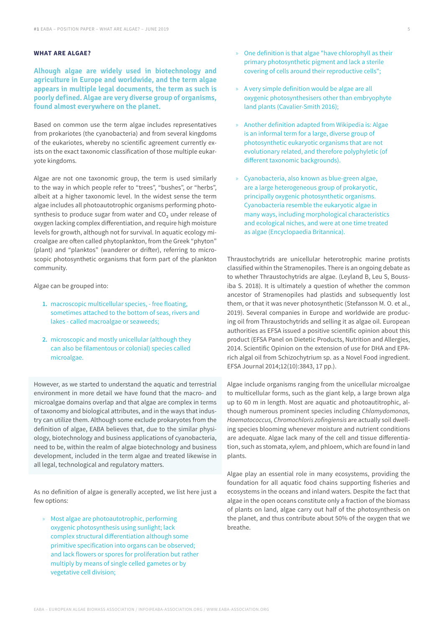# **WHAT ARE ALGAE?**

**Alhough algae are widely used in biotechnology and agriculture in Europe and worldwide, and the term algae appears in multiple legal documents, the term as such is poorly defined. Algae are very diverse group of organisms, found almost everywhere on the planet.** 

Based on common use the term algae includes representatives from prokariotes (the cyanobacteria) and from several kingdoms of the eukariotes, whereby no scientific agreement currently exists on the exact taxonomic classification of those multiple eukaryote kingdoms.

Algae are not one taxonomic group, the term is used similarly to the way in which people refer to "trees", "bushes", or "herbs", albeit at a higher taxonomic level. In the widest sense the term algae includes all photoautotrophic organisms performing photosynthesis to produce sugar from water and CO<sub>2</sub> under release of oxygen lacking complex differentiation, and require high moisture levels for growth, although not for survival. In aquatic ecology microalgae are often called phytoplankton, from the Greek "phyton" (plant) and "planktos" (wanderer or drifter), referring to microscopic photosynthetic organisms that form part of the plankton community.

Algae can be grouped into:

- **1.** macroscopic multicellular species, free floating, sometimes attached to the bottom of seas, rivers and lakes - called macroalgae or seaweeds;
- **2.** microscopic and mostly unicellular (although they can also be filamentous or colonial) species called microalgae.

However, as we started to understand the aquatic and terrestrial environment in more detail we have found that the macro- and microalgae domains overlap and that algae are complex in terms of taxonomy and biological attributes, and in the ways that industry can utilize them. Although some exclude prokaryotes from the definition of algae, EABA believes that, due to the similar physiology, biotechnology and business applications of cyanobacteria, need to be, within the realm of algae biotechnology and business development, included in the term algae and treated likewise in all legal, technological and regulatory matters.

As no definition of algae is generally accepted, we list here just a few options:

» Most algae are photoautotrophic, performing oxygenic photosynthesis using sunlight; lack complex structural differentiation although some primitive specification into organs can be observed; and lack flowers or spores for proliferation but rather multiply by means of single celled gametes or by vegetative cell division;

- » One definition is that algae "have chlorophyll as their primary photosynthetic pigment and lack a sterile covering of cells around their reproductive cells";
- » A very simple definition would be algae are all oxygenic photosynthesisers other than embryophyte land plants (Cavalier-Smith 2016);
- » Another definition adapted from Wikipedia is: Algae is an informal term for a large, diverse group of photosynthetic eukaryotic organisms that are not evolutionary related, and therefore polyphyletic (of different taxonomic backgrounds).
- » Cyanobacteria, also known as blue-green algae, are a large heterogeneous group of prokaryotic, principally oxygenic photosynthetic organisms. Cyanobacteria resemble the eukaryotic algae in many ways, including morphological characteristics and ecological niches, and were at one time treated as algae (Encyclopaedia Britannica).

Thraustochytrids are unicellular heterotrophic marine protists classified within the Stramenopiles. There is an ongoing debate as to whether Thraustochytrids are algae. (Leyland B, Leu S, Boussiba S. 2018). It is ultimately a question of whether the common ancestor of Stramenopiles had plastids and subsequently lost them, or that it was never photosynthetic (Stefansson M. O. et al., 2019). Several companies in Europe and worldwide are producing oil from Thraustochytrids and selling it as algae oil. European authorities as EFSA issued a positive scientific opinion about this product (EFSA Panel on Dietetic Products, Nutrition and Allergies, 2014. Scientific Opinion on the extension of use for DHA and EPArich algal oil from Schizochytrium sp. as a Novel Food ingredient. EFSA Journal 2014;12(10):3843, 17 pp.).

Algae include organisms ranging from the unicellular microalgae to multicellular forms, such as the giant kelp, a large brown alga up to 60 m in length. Most are aquatic and photoautitrophic, although numerous prominent species including *Chlamydomonas, Haematococcus, Chromochloris zofingiensis* are actually soil dwelling species blooming whenever moisture and nutrient conditions are adequate. Algae lack many of the cell and tissue differentiation, such as stomata, xylem, and phloem, which are found in land plants.

Algae play an essential role in many ecosystems, providing the foundation for all aquatic food chains supporting fisheries and ecosystems in the oceans and inland waters. Despite the fact that algae in the open oceans constitute only a fraction of the biomass of plants on land, algae carry out half of the photosynthesis on the planet, and thus contribute about 50% of the oxygen that we breathe.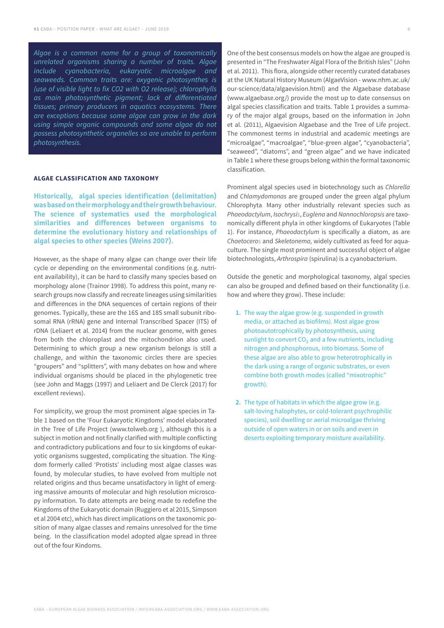*Algae is a common name for a group of taxonomically unrelated organisms sharing a number of traits. Algae include cyanobacteria, eukaryotic microalgae and seaweeds. Common traits are: oxygenic photosynthes is (use of visible light to fix CO2 with O2 release); chlorophylls as main photosynthetic pigment; lack of differentiated tissues; primary producers in aquatics ecosystems. There are exceptions because some algae can grow in the dark using simple organic compounds and some algae do not possess photosynthetic organelles so are unable to perform photosynthesis.*

#### **ALGAE CLASSIFICATION AND TAXONOMY**

**Historically, algal species identification (delimitation) was based on their morphology and their growth behaviour. The science of systematics used the morphological similarities and differences between organisms to determine the evolutionary history and relationships of algal species to other species (Weins 2007).** 

However, as the shape of many algae can change over their life cycle or depending on the environmental conditions (e.g. nutrient availability), it can be hard to classify many species based on morphology alone (Trainor 1998). To address this point, many research groups now classify and recreate lineages using similarities and differences in the DNA sequences of certain regions of their genomes. Typically, these are the 16S and 18S small subunit ribosomal RNA (rRNA) gene and Internal Transcribed Spacer (ITS) of rDNA (Leliaert et al. 2014**)** from the nuclear genome, with genes from both the chloroplast and the mitochondrion also used. Determining to which group a new organism belongs is still a challenge, and within the taxonomic circles there are species "groupers" and "splitters", with many debates on how and where individual organisms should be placed in the phylogenetic tree (see John and Maggs (1997) and Leliaert and De Clerck (2017) for excellent reviews).

For simplicity, we group the most prominent algae species in Table 1 based on the 'Four Eukaryotic Kingdoms' model elaborated in the Tree of Life Project (www.tolweb.org ), although this is a subject in motion and not finally clarified with multiple conflicting and contradictory publications and four to six kingdoms of eukaryotic organisms suggested, complicating the situation. The Kingdom formerly called 'Protists' including most algae classes was found, by molecular studies, to have evolved from multiple not related origins and thus became unsatisfactory in light of emerging massive amounts of molecular and high resolution microscopy information. To date attempts are being made to redefine the Kingdoms of the Eukaryotic domain (Ruggiero et al 2015, Simpson et al 2004 etc), which has direct implications on the taxonomic position of many algae classes and remains unresolved for the time being. In the classification model adopted algae spread in three out of the four Kindoms.

One of the best consensus models on how the algae are grouped is presented in "The Freshwater Algal Flora of the British Isles" (John et al. 2011). This flora, alongside other recently curated databases at the UK Natural History Museum (AlgaeVision - www.nhm.ac.uk/ our-science/data/algaevision.html) and the Algaebase database (www.algaebase.org/) provide the most up to date consensus on algal species classification and traits. Table 1 provides a summary of the major algal groups, based on the information in John et al. (2011), Algaevision Algaebase and the Tree of Life project. The commonest terms in industrial and academic meetings are "microalgae", "macroalgae", "blue-green algae", "cyanobacteria", "seaweed", "diatoms", and "green algae" and we have indicated in Table 1 where these groups belong within the formal taxonomic classification.

Prominent algal species used in biotechnology such as *Chlorella* and *Chlamydomonas* are grouped under the green algal phylum Chlorophyta*.* Many other industrially relevant species such as *Phaeodactylum*, *Isochrysis*, *Euglena* and *Nannochloropsis* are taxonomically different phyla in other kingdoms of Eukaryotes (Table 1). For instance, *Phaeodactylum* is specifically a diatom, as are *Chaetoceros* and *Skeletonema,* widely cultivated as feed for aquaculture. The single most prominent and successful object of algae biotechnologists, *Arthrospira* (spirulina) is a cyanobacterium.

Outside the genetic and morphological taxonomy, algal species can also be grouped and defined based on their functionality (i.e. how and where they grow). These include:

- **1.** The way the algae grow (e.g. suspended in growth media, or attached as biofilms). Most algae grow photoautotrophically by photosynthesis, using sunlight to convert  $CO<sub>2</sub>$  and a few nutrients, including nitrogen and phosphorous, into biomass. Some of these algae are also able to grow heterotrophically in the dark using a range of organic substrates, or even combine both growth modes (called "mixotrophic" growth).
- **2.** The type of habitats in which the algae grow (e.g. salt-loving halophytes, or cold-tolerant psychrophilic species), soil dwelling or aerial microalgae thriving outside of open waters in or on soils and even in deserts exploiting temporary moisture availability.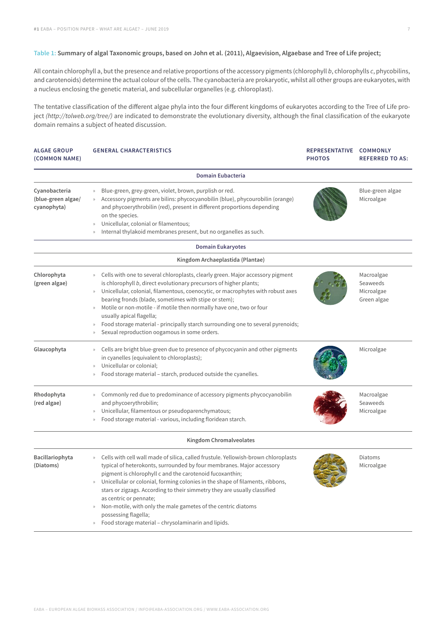# **Table 1: Summary of algal Taxonomic groups, based on John et al. (2011), Algaevision, Algaebase and Tree of Life project;**

All contain chlorophyll a, but the presence and relative proportions of the accessory pigments (chlorophyll *b*, chlorophylls *c*, phycobilins, and carotenoids) determine the actual colour of the cells. The cyanobacteria are prokaryotic, whilst all other groups are eukaryotes, with a nucleus enclosing the genetic material, and subcellular organelles (e.g. chloroplast).

The tentative classification of the different algae phyla into the four different kingdoms of eukaryotes according to the Tree of Life project *(http://tolweb.org/tree/)* are indicated to demonstrate the evolutionary diversity, although the final classification of the eukaryote domain remains a subject of heated discussion.

| <b>ALGAE GROUP</b><br>(COMMON NAME)                | <b>GENERAL CHARACTERISTICS</b>                                                                                                                                                                                                                                                                                                                                                                                                                                                                                                                                                                                               | REPRESENTATIVE COMMONLY<br><b>PHOTOS</b> | <b>REFERRED TO AS:</b>                              |
|----------------------------------------------------|------------------------------------------------------------------------------------------------------------------------------------------------------------------------------------------------------------------------------------------------------------------------------------------------------------------------------------------------------------------------------------------------------------------------------------------------------------------------------------------------------------------------------------------------------------------------------------------------------------------------------|------------------------------------------|-----------------------------------------------------|
|                                                    | <b>Domain Eubacteria</b>                                                                                                                                                                                                                                                                                                                                                                                                                                                                                                                                                                                                     |                                          |                                                     |
| Cyanobacteria<br>(blue-green algae/<br>cyanophyta) | Blue-green, grey-green, violet, brown, purplish or red.<br>$\rangle\!\rangle$<br>Accessory pigments are bilins: phycocyanobilin (blue), phycourobilin (orange)<br>and phycoerythrobilin (red), present in different proportions depending<br>on the species.<br>Unicellular, colonial or filamentous;<br>$\mathcal{D}$<br>Internal thylakoid membranes present, but no organelles as such.<br>$\rangle\rangle$                                                                                                                                                                                                               |                                          | Blue-green algae<br>Microalgae                      |
|                                                    | <b>Domain Eukaryotes</b>                                                                                                                                                                                                                                                                                                                                                                                                                                                                                                                                                                                                     |                                          |                                                     |
|                                                    | Kingdom Archaeplastida (Plantae)                                                                                                                                                                                                                                                                                                                                                                                                                                                                                                                                                                                             |                                          |                                                     |
| Chlorophyta<br>(green algae)                       | Cells with one to several chloroplasts, clearly green. Major accessory pigment<br>$\rangle\!\rangle$<br>is chlorophyll b, direct evolutionary precursors of higher plants;<br>Unicellular, colonial, filamentous, coenocytic, or macrophytes with robust axes<br>$\rangle\!\rangle$<br>bearing fronds (blade, sometimes with stipe or stem);<br>Motile or non-motile - if motile then normally have one, two or four<br>$\gg$<br>usually apical flagella;<br>Food storage material - principally starch surrounding one to several pyrenoids;<br>$\rangle\!\rangle$<br>Sexual reproduction oogamous in some orders.<br>$\gg$ |                                          | Macroalgae<br>Seaweeds<br>Microalgae<br>Green algae |
| Glaucophyta                                        | Cells are bright blue-green due to presence of phycocyanin and other pigments<br>$\rangle\!\rangle$<br>in cyanelles (equivalent to chloroplasts);<br>Unicellular or colonial;<br>$\mathcal{V}$<br>Food storage material - starch, produced outside the cyanelles.<br>$\gg$                                                                                                                                                                                                                                                                                                                                                   |                                          | Microalgae                                          |
| Rhodophyta<br>(red algae)                          | Commonly red due to predominance of accessory pigments phycocyanobilin<br>$\gg$<br>and phycoerythrobilin;<br>Unicellular, filamentous or pseudoparenchymatous;<br>$\mathcal{V}$<br>Food storage material - various, including floridean starch.<br>$\mathcal{V}$                                                                                                                                                                                                                                                                                                                                                             |                                          | Macroalgae<br>Seaweeds<br>Microalgae                |
|                                                    | <b>Kingdom Chromalveolates</b>                                                                                                                                                                                                                                                                                                                                                                                                                                                                                                                                                                                               |                                          |                                                     |
| Bacillariophyta<br>(Diatoms)                       | Cells with cell wall made of silica, called frustule. Yellowish-brown chloroplasts<br>typical of heterokonts, surrounded by four membranes. Major accessory<br>pigment is chlorophyll c and the carotenoid fucoxanthin;<br>Unicellular or colonial, forming colonies in the shape of filaments, ribbons,<br>stars or zigzags. According to their simmetry they are usually classified<br>as centric or pennate;<br>Non-motile, with only the male gametes of the centric diatoms<br>$\mathcal{D}$<br>possessing flagella;<br>Food storage material - chrysolaminarin and lipids.                                             |                                          | Diatoms<br>Microalgae                               |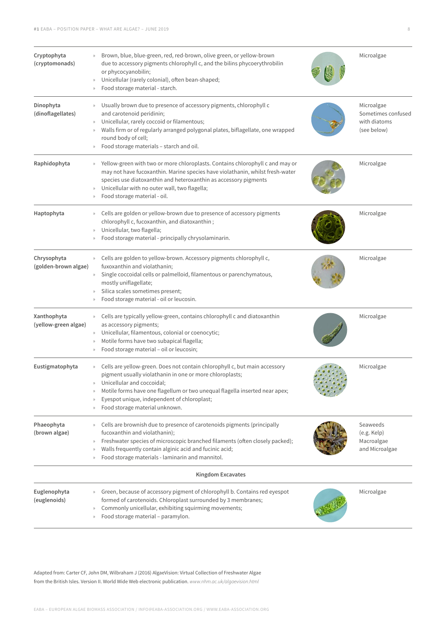| Cryptophyta<br>(cryptomonads)       | Brown, blue, blue-green, red, red-brown, olive green, or yellow-brown<br>due to accessory pigments chlorophyll c, and the bilins phycoerythrobilin<br>or phycocyanobilin;<br>Unicellular (rarely colonial), often bean-shaped;<br>$\rangle\!\rangle$<br>Food storage material - starch.                                                |  | Microalgae                                                      |  |  |
|-------------------------------------|----------------------------------------------------------------------------------------------------------------------------------------------------------------------------------------------------------------------------------------------------------------------------------------------------------------------------------------|--|-----------------------------------------------------------------|--|--|
| Dinophyta<br>(dinoflagellates)      | Usually brown due to presence of accessory pigments, chlorophyll c<br>and carotenoid peridinin;<br>Unicellular, rarely coccoid or filamentous;<br>Walls firm or of regularly arranged polygonal plates, biflagellate, one wrapped<br>round body of cell;<br>Food storage materials - starch and oil.                                   |  | Microalgae<br>Sometimes confused<br>with diatoms<br>(see below) |  |  |
| Raphidophyta                        | Yellow-green with two or more chloroplasts. Contains chlorophyll c and may or<br>$\gg$<br>may not have fucoxanthin. Marine species have violathanin, whilst fresh-water<br>species use diatoxanthin and heteroxanthin as accessory pigments<br>Unicellular with no outer wall, two flagella;<br>Food storage material - oil.           |  | Microalgae                                                      |  |  |
| Haptophyta                          | Cells are golden or yellow-brown due to presence of accessory pigments<br>chlorophyll c, fucoxanthin, and diatoxanthin;<br>Unicellular, two flagella;<br>$\gg$<br>Food storage material - principally chrysolaminarin.                                                                                                                 |  | Microalgae                                                      |  |  |
| Chrysophyta<br>(golden-brown algae) | Cells are golden to yellow-brown. Accessory pigments chlorophyll c,<br>fuxoxanthin and violathanin;<br>Single coccoidal cells or palmelloid, filamentous or parenchymatous,<br>$\rangle\!\rangle$<br>mostly uniflagellate;<br>Silica scales sometimes present;<br>Food storage material - oil or leucosin.<br>$\rangle\!\rangle$       |  | Microalgae                                                      |  |  |
| Xanthophyta<br>(yellow-green algae) | Cells are typically yellow-green, contains chlorophyll c and diatoxanthin<br>as accessory pigments;<br>Unicellular, filamentous, colonial or coenocytic;<br>$\rangle\!\rangle$<br>Motile forms have two subapical flagella;<br>Food storage material - oil or leucosin;<br>$\rangle\!\rangle$                                          |  | Microalgae                                                      |  |  |
| Eustigmatophyta                     | Cells are yellow-green. Does not contain chlorophyll c, but main accessory<br>pigment usually violathanin in one or more chloroplasts;<br>» Unicellular and coccoidal;<br>Motile forms have one flagellum or two unequal flagella inserted near apex;<br>Eyespot unique, independent of chloroplast;<br>Food storage material unknown. |  | Microalgae                                                      |  |  |
| Phaeophyta<br>(brown algae)         | Cells are brownish due to presence of carotenoids pigments (principally<br>fucoxanthin and violathanin);<br>Freshwater species of microscopic branched filaments (often closely packed);<br>Walls frequently contain alginic acid and fucinic acid;<br>Food storage materials - laminarin and mannitol.                                |  | Seaweeds<br>$(e.g.$ Kelp $)$<br>Macroalgae<br>and Microalgae    |  |  |
| <b>Kingdom Excavates</b>            |                                                                                                                                                                                                                                                                                                                                        |  |                                                                 |  |  |
| Euglenophyta<br>(euglenoids)        | Green, because of accessory pigment of chlorophyll b. Contains red eyespot<br>formed of carotenoids. Chloroplast surrounded by 3 membranes;<br>Commonly unicellular, exhibiting squirming movements;<br>Food storage material - paramylon.<br>$\gg$                                                                                    |  | Microalgae                                                      |  |  |

Adapted from: Carter CF, John DM, Wilbraham J (2016) AlgaeVision: Virtual Collection of Freshwater Algae from the British Isles. Version II. World Wide Web electronic publication. *[www.nhm.ac.uk/algaevision.html](http://www.nhm.ac.uk/algaevision.html)*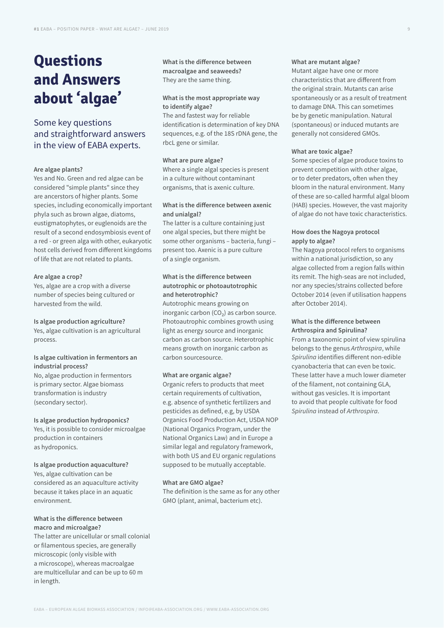# **Questions and Answers about 'algae'**

# Some key questions and straightforward answers in the view of EABA experts.

#### **Are algae plants?**

Yes and No. Green and red algae can be considered "simple plants" since they are ancerstors of higher plants. Some species, including economically important phyla such as brown algae, diatoms, eustigmatophytes, or euglenoids are the result of a second endosymbiosis event of a red - or green alga with other, eukaryotic host cells derived from different kingdoms of life that are not related to plants.

#### **Are algae a crop?**

Yes, algae are a crop with a diverse number of species being cultured or harvested from the wild.

#### **Is algae production agriculture?**

Yes, algae cultivation is an agricultural process.

#### **Is algae cultivation in fermentors an industrial process?**

No, algae production in fermentors is primary sector. Algae biomass transformation is industry (secondary sector).

#### **Is algae production hydroponics?**

Yes, it is possible to consider microalgae production in containers as hydroponics.

**Is algae production aquaculture?**  Yes, algae cultivation can be considered as an aquaculture activity because it takes place in an aquatic environment.

# **What is the difference between macro and microalgae?**

The latter are unicellular or small colonial or filamentous species, are generally microscopic (only visible with a microscope), whereas macroalgae are multicellular and can be up to 60 m in length.

**What is the difference between macroalgae and seaweeds?** They are the same thing.

# **What is the most appropriate way to identify algae?**

The and fastest way for reliable identification is determination of key DNA sequences, e.g. of the 18S rDNA gene, the rbcL gene or similar.

#### **What are pure algae?**

Where a single algal species is present in a culture without contaminant organisms, that is axenic culture.

# **What is the difference between axenic and unialgal?**

The latter is a culture containing just one algal species, but there might be some other organisms – bacteria, fungi – present too. Axenic is a pure culture of a single organism.

# **What is the difference between autotrophic or photoautotrophic and heterotrophic?**

Autotrophic means growing on inorganic carbon  $(CO<sub>2</sub>)$  as carbon source. Photoautrophic combines growth using light as energy source and inorganic carbon as carbon source. Heterotrophic means growth on inorganic carbon as carbon sourcesource.

#### **What are organic algae?**

Organic refers to products that meet certain requirements of cultivation, e.g. absence of synthetic fertilizers and pesticides as defined, e.g, by USDA Organics Food Production Act, USDA NOP (National Organics Program, under the National Organics Law) and in Europe a similar legal and regulatory framework, with both US and EU organic regulations supposed to be mutually acceptable.

#### **What are GMO algae?**

The definition is the same as for any other GMO (plant, animal, bacterium etc).

#### **What are mutant algae?**

Mutant algae have one or more characteristics that are different from the original strain. Mutants can arise spontaneously or as a result of treatment to damage DNA. This can sometimes be by genetic manipulation. Natural (spontaneous) or induced mutants are generally not considered GMOs.

#### **What are toxic algae?**

Some species of algae produce toxins to prevent competition with other algae, or to deter predators, often when they bloom in the natural environment. Many of these are so-called harmful algal bloom (HAB) species. However, the vast majority of algae do not have toxic characteristics.

### **How does the Nagoya protocol apply to algae?**

The Nagoya protocol refers to organisms within a national jurisdiction, so any algae collected from a region falls within its remit. The high-seas are not included, nor any species/strains collected before October 2014 (even if utilisation happens after October 2014).

# **What is the difference between Arthrospira and Spirulina?**

From a taxonomic point of view spirulina belongs to the genus *Arthrospira*, while *Spirulina* identifies different non-edible cyanobacteria that can even be toxic. These latter have a much lower diameter of the filament, not containing GLA, without gas vesicles. It is important to avoid that people cultivate for food *Spirulina* instead of *Arthrospira*.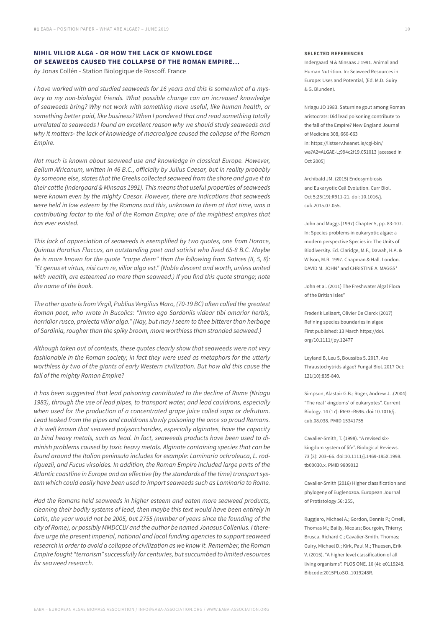# **NIHIL VILIOR ALGA - OR HOW THE LACK OF KNOWLEDGE OF SEAWEEDS CAUSED THE COLLAPSE OF THE ROMAN EMPIRE...** *by* Jonas Collén - Station Biologique de Roscoff. France

*I have worked with and studied seaweeds for 16 years and this is somewhat of a mystery to my non-biologist friends. What possible change can an increased knowledge of seaweeds bring? Why not work with something more useful, like human health, or something better paid, like business? When I pondered that and read something totally unrelated to seaweeds I found an excellent reason why we should study seaweeds and why it matters- the lack of knowledge of macroalgae caused the collapse of the Roman Empire.* 

*Not much is known about seaweed use and knowledge in classical Europe. However, Bellum Africanum, written in 46 B.C., officially by Julius Caesar, but in reality probably by someone else, states that the Greeks collected seaweed from the shore and gave it to their cattle (Indergaard & Minsaas 1991). This means that useful properties of seaweeds were known even by the mighty Caesar. However, there are indications that seaweeds were held in low esteem by the Romans and this, unknown to them at that time, was a contributing factor to the fall of the Roman Empire; one of the mightiest empires that has ever existed.*

*This lack of appreciation of seaweeds is exemplified by two quotes, one from Horace, Quintus Horatius Flaccus, an outstanding poet and satirist who lived 65-8 B.C. Maybe he is more known for the quote "carpe diem" than the following from Satires (II, 5, 8): "Et genus et virtus, nisi cum re, vilior alga est." (Noble descent and worth, unless united*  with wealth, are esteemed no more than seaweed.) If you find this quote strange; note *the name of the book.* 

*The other quote is from Virgil, Publius Vergilius Maro, (70-19 BC) often called the greatest Roman poet, who wrote in Bucolics: "Immo ego Sardoniis videar tibi amarior herbis, horridior rusco, proiecta vilior alga." (Nay, but may I seem to thee bitterer than herbage of Sardinia, rougher than the spiky broom, more worthless than stranded seaweed.)* 

*Although taken out of contexts, these quotes clearly show that seaweeds were not very fashionable in the Roman society; in fact they were used as metaphors for the utterly worthless by two of the giants of early Western civilization. But how did this cause the fall of the mighty Roman Empire?*

*It has been suggested that lead poisoning contributed to the decline of Rome (Nriagu 1983), through the use of lead pipes, to transport water, and lead cauldrons, especially when used for the production of a concentrated grape juice called sapa or defrutum. Lead leaked from the pipes and cauldrons slowly poisoning the once so proud Romans. It is well known that seaweed polysaccharides, especially alginates, have the capacity to bind heavy metals, such as lead. In fact, seaweeds products have been used to diminish problems caused by toxic heavy metals. Alginate containing species that can be found around the Italian peninsula includes for example: Laminaria ochroleuca, L. rodriguezii, and Fucus virsoides. In addition, the Roman Empire included large parts of the Atlantic coastline in Europe and an effective (by the standards of the time) transport system which could easily have been used to import seaweeds such as Laminaria to Rome.* 

*Had the Romans held seaweeds in higher esteem and eaten more seaweed products, cleaning their bodily systems of lead, then maybe this text would have been entirely in Latin, the year would not be 2005, but 2755 (number of years since the founding of the city of Rome), or possibly MMDCCLV and the author be named Jonasus Collenius. I therefore urge the present imperial, national and local funding agencies to support seaweed research in order to avoid a collapse of civilization as we know it. Remember, the Roman Empire fought "terrorism" successfully for centuries, but succumbed to limited resources for seaweed research.*

#### **SELECTED REFERENCES**

Indergaard M & Minsaas J 1991. Animal and Human Nutrition. In: Seaweed Resources in Europe: Uses and Potential, (Ed. M.D. Guiry & G. Blunden).

Nriagu JO 1983. Saturnine gout among Roman aristocrats: Did lead poisoning contribute to the fall of the Empire? New England Journal of Medicine 308, 660-663 in: https://listserv.heanet.ie/cgi-bin/ wa?A2=ALGAE-L;994c2f19.051013 [acessed in Oct 2005]

Archibald JM. (2015) Endosymbiosis and Eukaryotic Cell Evolution. Curr Biol. Oct 5;25(19):R911-21. doi: 10.1016/j. cub.2015.07.055.

John and Maggs (1997) Chapter 5, pp. 83-107. In: Species problems in eukaryotic algae: a modern perspective Species in: The Units of Biodiversity. Ed. Claridge, M.F., Dawah, H.A. & Wilson, M.R. 1997. Chapman & Hall. London. DAVID M. JOHN\* and CHRISTINE A. MAGGS\*

John et al. (2011) The Freshwater Algal Flora of the British Isles"

Frederik Leliaert, Olivier De Clerck (2017) Refining species boundaries in algae First published: 13 March [https://doi.](https://doi.org/10.1111/jpy.12477) [org/10.1111/jpy.12477](https://doi.org/10.1111/jpy.12477)

Leyland B, Leu S, Boussiba S. 2017, Are Thraustochytrids algae? Fungal Biol. 2017 Oct; 121(10):835-840.

Simpson, Alastair G.B.; Roger, Andrew J. .(2004) "The real 'kingdoms' of eukaryotes". Current Biology. 14 (17): R693–R696. doi:10.1016/j. cub.08.038. PMID 15341755

Cavalier-Smith, T. (1998). "A revised sixkingdom system of life". Biological Reviews. 73 (3): 203–66. doi:10.1111/j.1469-185X.1998. tb00030.x. PMID 9809012

Cavalier-Smith (2016) Higher classification and phylogeny of Euglenozoa. European Journal of Protistology 56: 255,

Ruggiero, Michael A.; Gordon, Dennis P.; Orrell, Thomas M.; Bailly, Nicolas; Bourgoin, Thierry; Brusca, Richard C.; Cavalier-Smith, Thomas; Guiry, Michael D.; Kirk, Paul M.; Thuesen, Erik V. (2015). "A higher level classification of all living organisms". PLOS ONE. 10 (4): e0119248. Bibcode:2015PLoSO..1019248R.